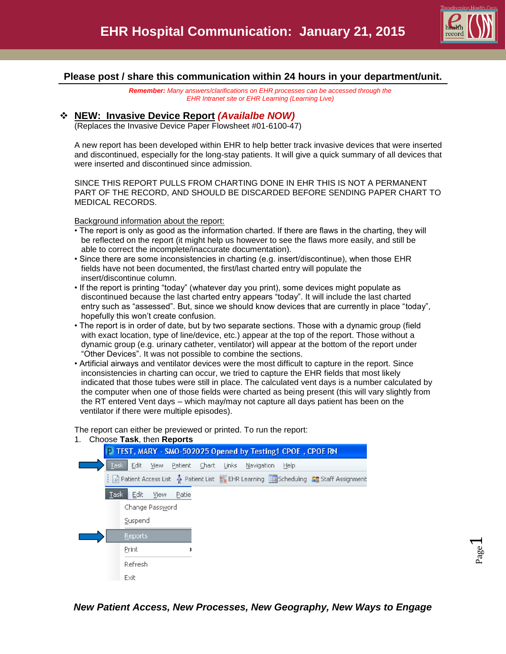

Page  $\overline{\phantom{0}}$ 

### **Please post / share this communication within 24 hours in your department/unit.**

*Remember: Many answers/clarifications on EHR processes can be accessed through the EHR Intranet site or EHR Learning (Learning Live)*

### **NEW: Invasive Device Report** *(Availalbe NOW)*

(Replaces the Invasive Device Paper Flowsheet #01-6100-47)

A new report has been developed within EHR to help better track invasive devices that were inserted and discontinued, especially for the long-stay patients. It will give a quick summary of all devices that were inserted and discontinued since admission.

SINCE THIS REPORT PULLS FROM CHARTING DONE IN EHR THIS IS NOT A PERMANENT PART OF THE RECORD, AND SHOULD BE DISCARDED BEFORE SENDING PAPER CHART TO MEDICAL RECORDS.

Background information about the report:

- The report is only as good as the information charted. If there are flaws in the charting, they will be reflected on the report (it might help us however to see the flaws more easily, and still be able to correct the incomplete/inaccurate documentation).
- Since there are some inconsistencies in charting (e.g. insert/discontinue), when those EHR fields have not been documented, the first/last charted entry will populate the insert/discontinue column.
- If the report is printing "today" (whatever day you print), some devices might populate as discontinued because the last charted entry appears "today". It will include the last charted entry such as "assessed". But, since we should know devices that are currently in place "today", hopefully this won't create confusion.
- The report is in order of date, but by two separate sections. Those with a dynamic group (field with exact location, type of line/device, etc.) appear at the top of the report. Those without a dynamic group (e.g. urinary catheter, ventilator) will appear at the bottom of the report under "Other Devices". It was not possible to combine the sections.
- Artificial airways and ventilator devices were the most difficult to capture in the report. Since inconsistencies in charting can occur, we tried to capture the EHR fields that most likely indicated that those tubes were still in place. The calculated vent days is a number calculated by the computer when one of those fields were charted as being present (this will vary slightly from the RT entered Vent days – which may/may not capture all days patient has been on the ventilator if there were multiple episodes).

The report can either be previewed or printed. To run the report:



### 1. Choose **Task**, then **Reports**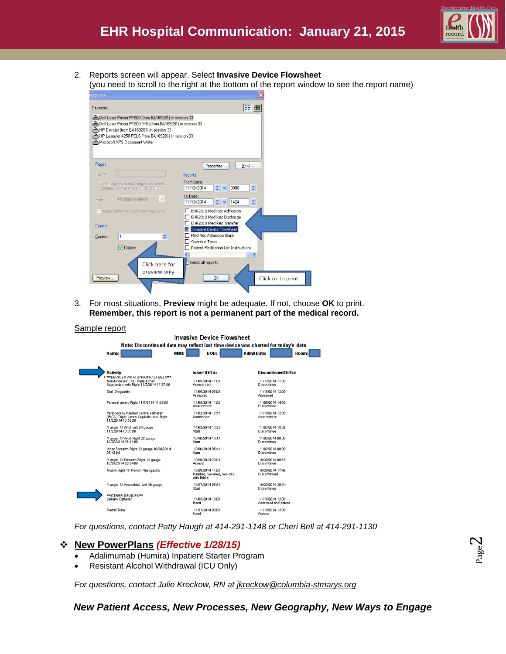

2. Reports screen will appear. Select **Invasive Device Flowsheet** (you need to scroll to the right at the bottom of the report window to see the report name)

| <b>Reports</b>                                                                                             |                                                                               |
|------------------------------------------------------------------------------------------------------------|-------------------------------------------------------------------------------|
| Favorites:                                                                                                 | 18 而                                                                          |
| Dell Laser Printer P1500 (from BA169281) in session 33                                                     |                                                                               |
| ▲ Dell Laser Printer P1500 (MS) (from BA169281) in session 33<br>▲HP Deskjet (from BA169281) in session 33 |                                                                               |
| HP LaserJet 4250 PCL6 (from BA169281) in session 33                                                        |                                                                               |
| Microsoft XPS Document Writer                                                                              |                                                                               |
|                                                                                                            |                                                                               |
| Pages                                                                                                      | Find<br>Properties                                                            |
| Pages:                                                                                                     | Reports                                                                       |
| Enter page numbers/ranges separated by<br>commas. For example: 1, 5 - 7, 10                                | From Date:<br>¢<br>11/18/2014<br>0000<br>$\overline{\mathbf{v}}$              |
| $\vee$<br>All pages in range<br>Print                                                                      | To Date:<br>$\hat{\mathbf{v}}$<br>11/18/2014<br>$\frac{4}{3}$ $\sqrt{ }$ 1424 |
| Apply options to each item separately                                                                      | EHR2010 Med Rec Admission<br>EHR2010 Med Rec Discharge                        |
| Copies                                                                                                     | EHR2010 Med Rec Transfer                                                      |
|                                                                                                            | Invasive Device Flowsheet<br>Med Rec Admission Blank                          |
| ÷<br>1<br>Copies:                                                                                          | Overdue Tasks                                                                 |
| $\boxed{\triangledown}$ Collate                                                                            | Patient Medication List Instructions                                          |
|                                                                                                            | ∢<br>$\rightarrow$                                                            |
| Click here for                                                                                             | Select all reports                                                            |
| preview only<br>Preview                                                                                    | QK<br>Click ok to print                                                       |
|                                                                                                            |                                                                               |
|                                                                                                            |                                                                               |

3. For most situations, **Preview** might be adequate. If not, choose **OK** to print. **Remember, this report is not a permanent part of the medical record.**

#### Sample report

| Invasive Device Flowsheet                                                                               |                                                                                   |                                         |  |  |  |  |
|---------------------------------------------------------------------------------------------------------|-----------------------------------------------------------------------------------|-----------------------------------------|--|--|--|--|
|                                                                                                         | Note: Discontinued date may reflect last time device was charted for today's date |                                         |  |  |  |  |
| Name:                                                                                                   | MRH:<br>DOB:                                                                      | <b>Admit Date:</b><br>Room              |  |  |  |  |
|                                                                                                         |                                                                                   |                                         |  |  |  |  |
| Activity<br><b>*** DEVICES WITH DYNAMIC LABEL S***</b>                                                  | Insert Dt/Tm                                                                      | Discontinued Dt/Tm                      |  |  |  |  |
| Non-tunneled CVC Triple lumen<br>Subclavian vein Right 11/5/2014 11:37:00                               | 11.05/2014 11:00<br>Assessment                                                    | 11/12/2014 11:00<br>Discontinue         |  |  |  |  |
| Oral Orogastric                                                                                         | 11/05/2014 08:00<br>Assessed                                                      | 11/18/2014 12:00<br>Assessed            |  |  |  |  |
| Femoral artery Right 11/5/2014 11:28:00                                                                 | 11/05/2014 11:00<br>Assessment                                                    | 11/06/2014 14:00<br>Discontinue         |  |  |  |  |
| Peripherally inserted central catheter<br>(PICC) Triple lumen Cephalic vein Right<br>11/2/2014 13:52:00 | 11.02/2014 12:55<br>Start/Insert                                                  | 11/18/2014 12:00<br>Assessment          |  |  |  |  |
| Y angio IV Wrist Let 24 gauge<br>11/2/2014 13:33:00                                                     | 11.02/2014 13:32<br>Start                                                         | 11/03/2014 18:02<br>Discontinue         |  |  |  |  |
| Y angio IV Wrist Right 22 gauge<br>10/30/2014 16:11:00                                                  | 10/30/2014 16:11<br>Start                                                         | 11/02/2014 00:00<br>Discontinue         |  |  |  |  |
| Inner Forearm Right 22 gauge 10/30/2014<br>05:42:00                                                     | 10/30/2014 05:41<br>Start                                                         | 11/02/2014 00:00<br>Discontinue         |  |  |  |  |
| Y angio IV Forearm Right 22 gauge<br>10/29/2014 20:04:00                                                | 10/29/2014 20:04<br>Assess                                                        | 10/30/2014 00:15<br>Discontinue         |  |  |  |  |
| Nostril, right 16 French Nasogastric                                                                    | 10/29/2014 11:00<br>Inserted, Secured, Secured<br>with Bridle                     | 10/29/2014 17:42<br>Discontinued        |  |  |  |  |
| Y angio IV Antecubital Left 20 gauge                                                                    | 10/27/2014 05:54<br>Start                                                         | 10/29/2014 20:04<br>Discontinue         |  |  |  |  |
| *** OTHER DEVICES***<br>Urinary Catheter                                                                | 11/03/2014 10:00<br>Insert                                                        | 11/18/2014 12:00<br>Assessed and patent |  |  |  |  |
| <b>Rectal Tube</b>                                                                                      | 11/11/2014 00:00<br>Insert                                                        | 11/18/2014 12:00<br>Assess              |  |  |  |  |

*For questions, contact Patty Haugh at 414-291-1148 or Cheri Bell at 414-291-1130*

### **New PowerPlans** *(Effective 1/28/15)*

- Adalimumab (Humira) Inpatient Starter Program
- Resistant Alcohol Withdrawal (ICU Only)

*For questions, contact Julie Kreckow, RN at [jkreckow@columbia-stmarys.org](mailto:jkreckow@columbia-stmarys.org)*

### *New Patient Access, New Processes, New Geography, New Ways to Engage*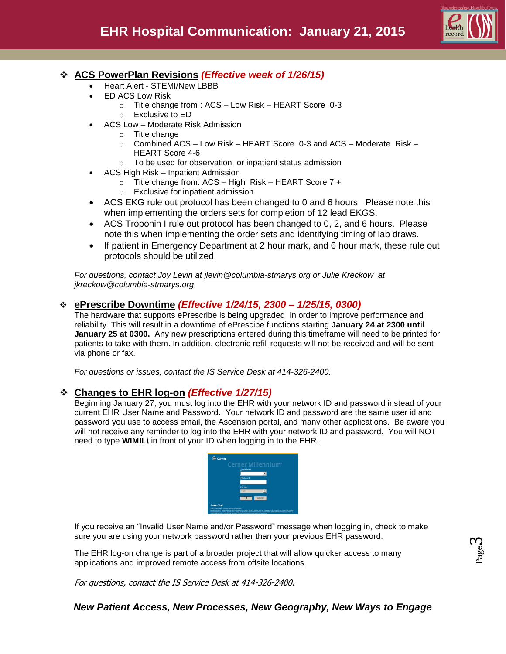

## **ACS PowerPlan Revisions** *(Effective week of 1/26/15)*

- Heart Alert STEMI/New LBBB
- ED ACS Low Risk
	- o Title change from : ACS Low Risk HEART Score 0-3
	- o Exclusive to ED
- ACS Low Moderate Risk Admission
	- o Title change
	- $\circ$  Combined ACS Low Risk HEART Score 0-3 and ACS Moderate Risk HEART Score 4-6
	- o To be used for observation or inpatient status admission
- ACS High Risk Inpatient Admission
	- o Title change from: ACS High Risk HEART Score 7 +
	- o Exclusive for inpatient admission
- ACS EKG rule out protocol has been changed to 0 and 6 hours. Please note this when implementing the orders sets for completion of 12 lead EKGS.
- ACS Troponin I rule out protocol has been changed to 0, 2, and 6 hours. Please note this when implementing the order sets and identifying timing of lab draws.
- If patient in Emergency Department at 2 hour mark, and 6 hour mark, these rule out protocols should be utilized.

*For questions, contact Joy Levin at [jlevin@columbia-stmarys.org](mailto:jkreckow@columbia-stmarys.org) or Julie Kreckow at [jkreckow@columbia-stmarys.org](mailto:jkreckow@columbia-stmarys.org)*

### **ePrescribe Downtime** *(Effective 1/24/15, 2300 – 1/25/15, 0300)*

The hardware that supports ePrescribe is being upgraded in order to improve performance and reliability. This will result in a downtime of ePrescibe functions starting **January 24 at 2300 until January 25 at 0300.** Any new prescriptions entered during this timeframe will need to be printed for patients to take with them. In addition, electronic refill requests will not be received and will be sent via phone or fax.

*For questions or issues, contact the IS Service Desk at 414-326-2400.*

### **Changes to EHR log-on** *(Effective 1/27/15)*

Beginning January 27, you must log into the EHR with your network ID and password instead of your current EHR User Name and Password. Your network ID and password are the same user id and password you use to access email, the Ascension portal, and many other applications. Be aware you will not receive any reminder to log into the EHR with your network ID and password. You will NOT need to type **WIMIL\** in front of your ID when logging in to the EHR.

|            | Cerner Millennium <sup>®</sup> |        |  |
|------------|--------------------------------|--------|--|
|            | User Name                      |        |  |
|            |                                |        |  |
|            | Password                       |        |  |
|            |                                |        |  |
|            | Domain                         |        |  |
|            | 3296                           |        |  |
|            | OK.                            | Cancel |  |
| PowerChart |                                |        |  |

If you receive an "Invalid User Name and/or Password" message when logging in, check to make sure you are using your network password rather than your previous EHR password.

The EHR log-on change is part of a broader project that will allow quicker access to many applications and improved remote access from offsite locations.

For questions, contact the IS Service Desk at 414-326-2400.

### *New Patient Access, New Processes, New Geography, New Ways to Engage*